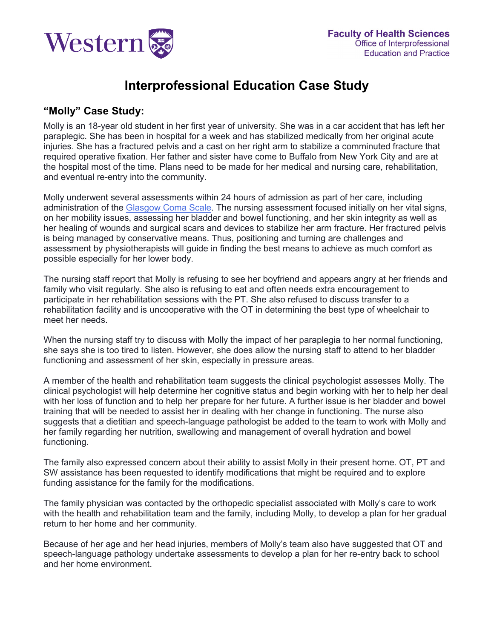

# **Interprofessional Education Case Study**

### **"Molly" Case Study:**

Molly is an 18-year old student in her first year of university. She was in a car accident that has left her paraplegic. She has been in hospital for a week and has stabilized medically from her original acute injuries. She has a fractured pelvis and a cast on her right arm to stabilize a comminuted fracture that required operative fixation. Her father and sister have come to Buffalo from New York City and are at the hospital most of the time. Plans need to be made for her medical and nursing care, rehabilitation, and eventual re-entry into the community.

Molly underwent several assessments within 24 hours of admission as part of her care, including administration of the [Glasgow Coma Scale.](#page-1-0) The nursing assessment focused initially on her vital signs, on her mobility issues, assessing her bladder and bowel functioning, and her skin integrity as well as her healing of wounds and surgical scars and devices to stabilize her arm fracture. Her fractured pelvis is being managed by conservative means. Thus, positioning and turning are challenges and assessment by physiotherapists will guide in finding the best means to achieve as much comfort as possible especially for her lower body.

The nursing staff report that Molly is refusing to see her boyfriend and appears angry at her friends and family who visit regularly. She also is refusing to eat and often needs extra encouragement to participate in her rehabilitation sessions with the PT. She also refused to discuss transfer to a rehabilitation facility and is uncooperative with the OT in determining the best type of wheelchair to meet her needs.

When the nursing staff try to discuss with Molly the impact of her paraplegia to her normal functioning, she says she is too tired to listen. However, she does allow the nursing staff to attend to her bladder functioning and assessment of her skin, especially in pressure areas.

A member of the health and rehabilitation team suggests the clinical psychologist assesses Molly. The clinical psychologist will help determine her cognitive status and begin working with her to help her deal with her loss of function and to help her prepare for her future. A further issue is her bladder and bowel training that will be needed to assist her in dealing with her change in functioning. The nurse also suggests that a dietitian and speech-language pathologist be added to the team to work with Molly and her family regarding her nutrition, swallowing and management of overall hydration and bowel functioning.

The family also expressed concern about their ability to assist Molly in their present home. OT, PT and SW assistance has been requested to identify modifications that might be required and to explore funding assistance for the family for the modifications.

The family physician was contacted by the orthopedic specialist associated with Molly's care to work with the health and rehabilitation team and the family, including Molly, to develop a plan for her gradual return to her home and her community.

Because of her age and her head injuries, members of Molly's team also have suggested that OT and speech-language pathology undertake assessments to develop a plan for her re-entry back to school and her home environment.